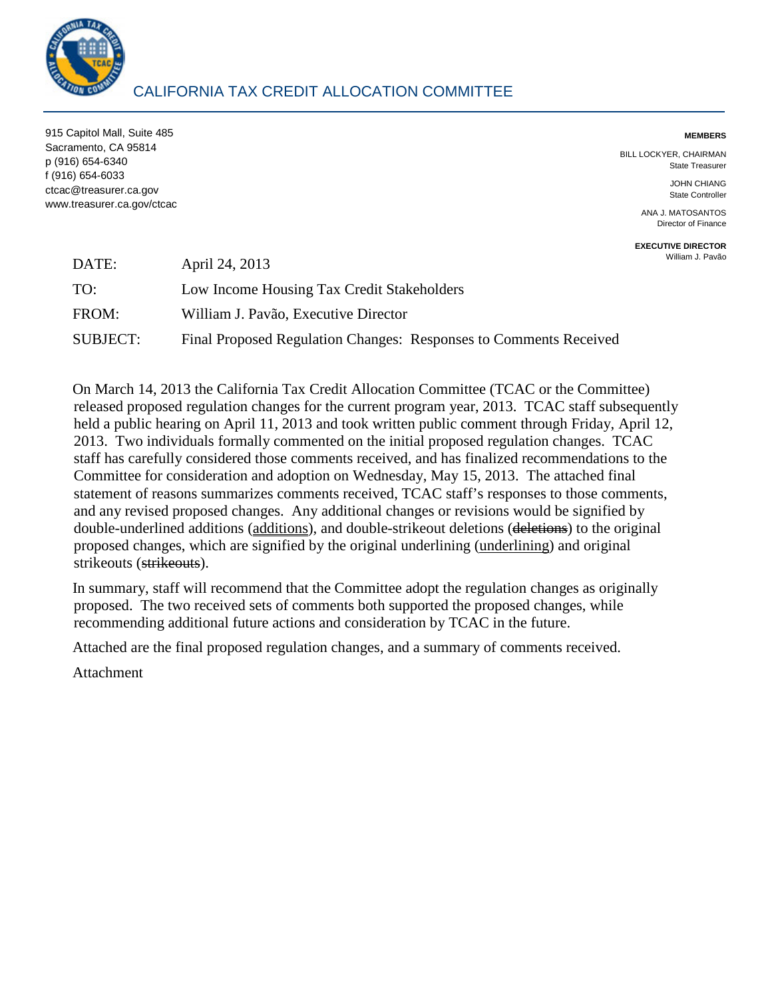

915 Capitol Mall, Suite 485 **MEMBERS**  Sacramento, CA 95814 p (916) 654-6340 BILL LOCKYER, CHAIRMAN f (916) 654-6033 ctcac@treasurer.ca.gov JOHN CHIANG www.treasurer.ca.gov/ctcac

State Treasurer

State Controller

ANA J. MATOSANTOS Director of Finance

**EXECUTIVE DIRECTOR**<br>William J. Pavão

| DATE:           | April 24, 2013                                                    | William J. Pavão |
|-----------------|-------------------------------------------------------------------|------------------|
| TO:             | Low Income Housing Tax Credit Stakeholders                        |                  |
| FROM:           | William J. Pavão, Executive Director                              |                  |
| <b>SUBJECT:</b> | Final Proposed Regulation Changes: Responses to Comments Received |                  |

On March 14, 2013 the California Tax Credit Allocation Committee (TCAC or the Committee) released proposed regulation changes for the current program year, 2013. TCAC staff subsequently held a public hearing on April 11, 2013 and took written public comment through Friday, April 12, 2013. Two individuals formally commented on the initial proposed regulation changes. TCAC staff has carefully considered those comments received, and has finalized recommendations to the Committee for consideration and adoption on Wednesday, May 15, 2013. The attached final statement of reasons summarizes comments received, TCAC staff's responses to those comments, and any revised proposed changes. Any additional changes or revisions would be signified by double-underlined additions (additions), and double-strike out deletions (deletions) to the original proposed changes, which are signified by the original underlining (underlining) and original strikeouts (strikeouts).

In summary, staff will recommend that the Committee adopt the regulation changes as originally proposed. The two received sets of comments both supported the proposed changes, while recommending additional future actions and consideration by TCAC in the future.

Attached are the final proposed regulation changes, and a summary of comments received.

Attachment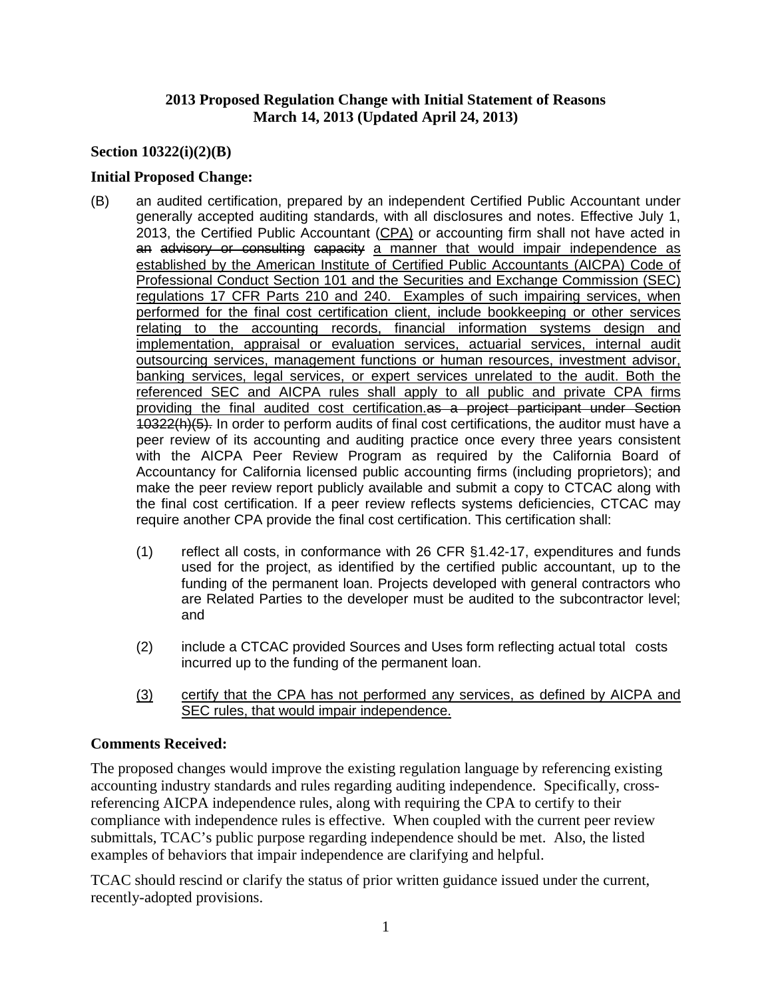# **2013 Proposed Regulation Change with Initial Statement of Reasons March 14, 2013 (Updated April 24, 2013)**

# **Section 10322(i)(2)(B)**

### **Initial Proposed Change:**

- generally accepted auditing standards, with all disclosures and notes. Effective July 1, 2013, the Certified Public Accountant (CPA) or accounting firm shall not have acted in an advisory or consulting capacity a manner that would impair independence as established by the American Institute of Certified Public Accountants (AICPA) Code of performed for the final cost certification client, include bookkeeping or other services relating to the accounting records, financial information systems design and outsourcing services, management functions or human resources, investment advisor, providing the final audited cost certification.as a project participant under Section Accountancy for California licensed public accounting firms (including proprietors); and (B) an audited certification, prepared by an independent Certified Public Accountant under Professional Conduct Section 101 and the Securities and Exchange Commission (SEC) regulations 17 CFR Parts 210 and 240. Examples of such impairing services, when implementation, appraisal or evaluation services, actuarial services, internal audit banking services, legal services, or expert services unrelated to the audit. Both the referenced SEC and AICPA rules shall apply to all public and private CPA firms 10322(h)(5). In order to perform audits of final cost certifications, the auditor must have a peer review of its accounting and auditing practice once every three years consistent with the AICPA Peer Review Program as required by the California Board of make the peer review report publicly available and submit a copy to CTCAC along with the final cost certification. If a peer review reflects systems deficiencies, CTCAC may require another CPA provide the final cost certification. This certification shall:
	- (1) reflect all costs, in conformance with 26 CFR  $\S1.42$ -17, expenditures and funds used for the project, as identified by the certified public accountant, up to the funding of the permanent loan. Projects developed with general contractors who are Related Parties to the developer must be audited to the subcontractor level; and
	- (2) include a CTCAC provided Sources and Uses form reflecting actual total costs incurred up to the funding of the permanent loan.
	- (3) certify that the CPA has not performed any services, as defined by AICPA and SEC rules, that would impair independence.

#### **Comments Received:**

 The proposed changes would improve the existing regulation language by referencing existing submittals, TCAC's public purpose regarding independence should be met. Also, the listed examples of behaviors that impair independence are clarifying and helpful. accounting industry standards and rules regarding auditing independence. Specifically, crossreferencing AICPA independence rules, along with requiring the CPA to certify to their compliance with independence rules is effective. When coupled with the current peer review

TCAC should rescind or clarify the status of prior written guidance issued under the current, recently-adopted provisions.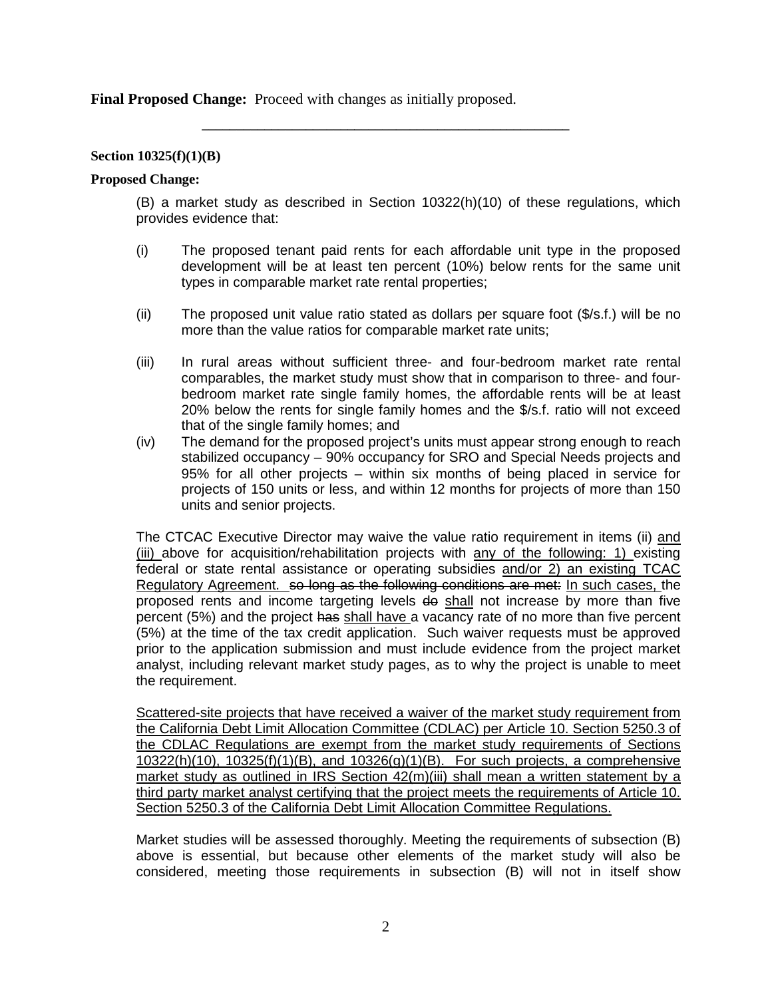**Final Proposed Change:** Proceed with changes as initially proposed.

**Section 10325(f)(1)(B)** 

#### **Proposed Change:**

 (B) a market study as described in Section 10322(h)(10) of these regulations, which provides evidence that:

**\_\_\_\_\_\_\_\_\_\_\_\_\_\_\_\_\_\_\_\_\_\_\_\_\_\_\_\_\_\_\_\_\_\_\_\_\_\_\_\_\_\_\_\_\_\_\_\_\_\_\_\_\_** 

- (i) The proposed tenant paid rents for each affordable unit type in the proposed development will be at least ten percent (10%) below rents for the same unit types in comparable market rate rental properties;
- more than the value ratios for comparable market rate units; (ii) The proposed unit value ratio stated as dollars per square foot  $(\frac{1}{3}, \frac{1}{5})$  will be no
- (iii) In rural areas without sufficient three- and four-bedroom market rate rental bedroom market rate single family homes, the affordable rents will be at least comparables, the market study must show that in comparison to three- and four-20% below the rents for single family homes and the \$/s.f. ratio will not exceed that of the single family homes; and
- stabilized occupancy 90% occupancy for SRO and Special Needs projects and  $(iv)$  The demand for the proposed project's units must appear strong enough to reach 95% for all other projects – within six months of being placed in service for projects of 150 units or less, and within 12 months for projects of more than 150 units and senior projects.

The CTCAC Executive Director may waive the value ratio requirement in items (ii) and federal or state rental assistance or operating subsidies and/or 2) an existing TCAC Regulatory Agreement. so long as the following conditions are met: In such cases, the proposed rents and income targeting levels <del>do</del> shall not increase by more than five percent (5%) and the project <del>has shall have</del> a vacancy rate of no more than five percent (5%) at the time of the tax credit application. Such waiver requests must be approved prior to the application submission and must include evidence from the project market (iii) above for acquisition/rehabilitation projects with any of the following: 1) existing analyst, including relevant market study pages, as to why the project is unable to meet the requirement.

 Scattered-site projects that have received a waiver of the market study requirement from the California Debt Limit Allocation Committee (CDLAC) per Article 10. Section 5250.3 of the CDLAC Regulations are exempt from the market study requirements of Sections  $10322(h)(10)$ ,  $10325(f)(1)(B)$ , and  $10326(g)(1)(B)$ . For such projects, a comprehensive market study as outlined in IRS Section 42(m)(iii) shall mean a written statement by a third party market analyst certifying that the project meets the requirements of Article 10. Section 5250.3 of the California Debt Limit Allocation Committee Regulations.

 above is essential, but because other elements of the market study will also be considered, meeting those requirements in subsection (B) will not in itself show Market studies will be assessed thoroughly. Meeting the requirements of subsection (B)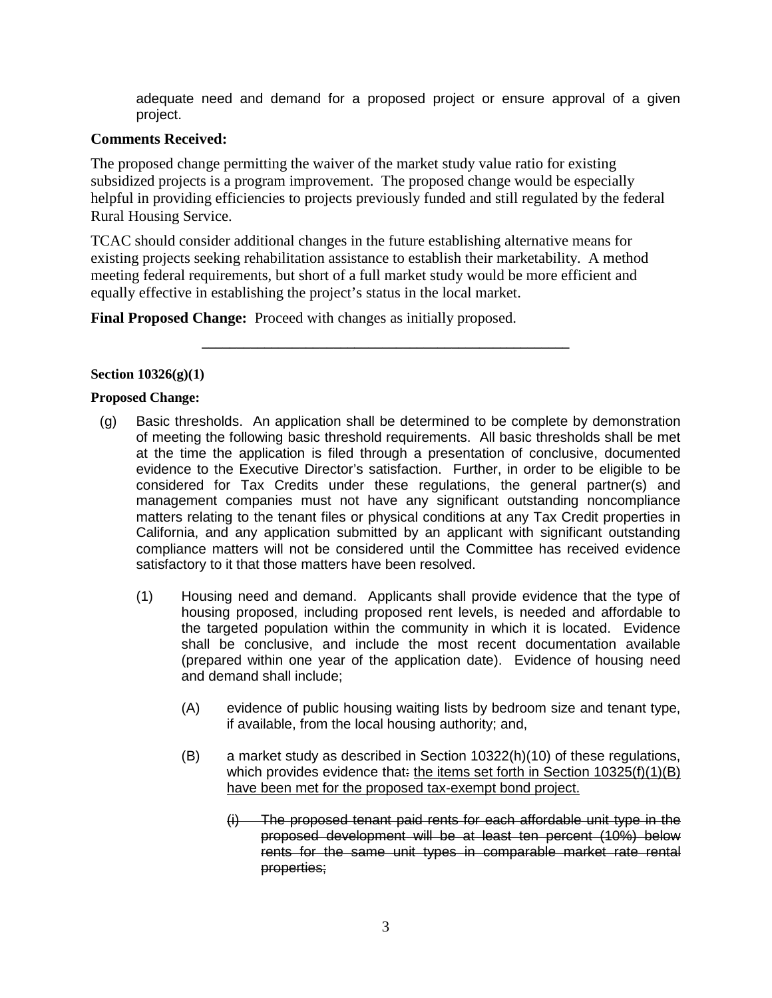adequate need and demand for a proposed project or ensure approval of a given project.

# **Comments Received:**

The proposed change permitting the waiver of the market study value ratio for existing subsidized projects is a program improvement. The proposed change would be especially helpful in providing efficiencies to projects previously funded and still regulated by the federal Rural Housing Service.

TCAC should consider additional changes in the future establishing alternative means for existing projects seeking rehabilitation assistance to establish their marketability. A method meeting federal requirements, but short of a full market study would be more efficient and equally effective in establishing the project's status in the local market.

**\_\_\_\_\_\_\_\_\_\_\_\_\_\_\_\_\_\_\_\_\_\_\_\_\_\_\_\_\_\_\_\_\_\_\_\_\_\_\_\_\_\_\_\_\_\_\_\_\_\_\_\_\_** 

**Final Proposed Change:** Proceed with changes as initially proposed.

#### **Section 10326(g)(1)**

#### **Proposed Change:**

- considered for Tax Credits under these regulations, the general partner(s) and management companies must not have any significant outstanding noncompliance (g) Basic thresholds. An application shall be determined to be complete by demonstration of meeting the following basic threshold requirements. All basic thresholds shall be met at the time the application is filed through a presentation of conclusive, documented evidence to the Executive Director's satisfaction. Further, in order to be eligible to be matters relating to the tenant files or physical conditions at any Tax Credit properties in California, and any application submitted by an applicant with significant outstanding compliance matters will not be considered until the Committee has received evidence satisfactory to it that those matters have been resolved.
	- (1) Housing need and demand. Applicants shall provide evidence that the type of housing proposed, including proposed rent levels, is needed and affordable to the targeted population within the community in which it is located. Evidence shall be conclusive, and include the most recent documentation available (prepared within one year of the application date). Evidence of housing need and demand shall include;
		- (A) evidence of public housing waiting lists by bedroom size and tenant type, if available, from the local housing authority; and,
		- (B) a market study as described in Section 10322(h)(10) of these regulations, which provides evidence that<del>:</del> the items set forth in Section 10325(f)(1)(B) have been met for the proposed tax-exempt bond project.
			- proposed development will be at least ten percent (10%) below rents for the same unit types in comparable market rate rental  $(i)$  The proposed tenant paid rents for each affordable unit type in the properties;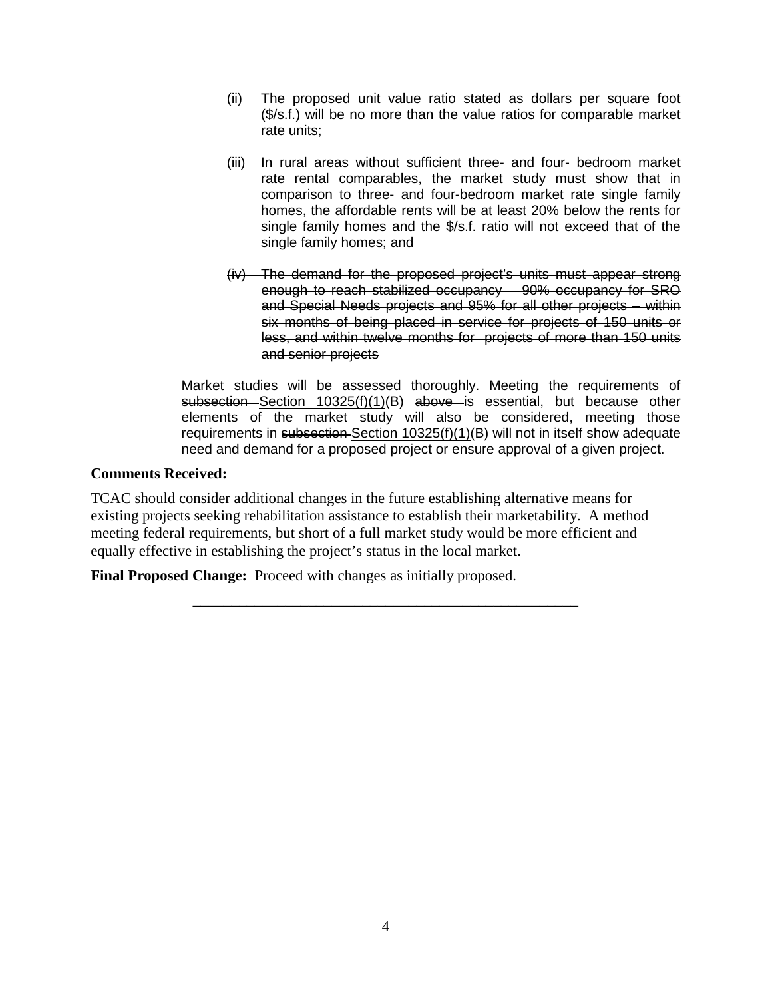- (ii) The proposed unit value ratio stated as dollars per square foot (\$/s.f.) will be no more than the value ratios for comparable market rate units;
- (iii) In rural areas without sufficient three- and four- bedroom market homes, the affordable rents will be at least 20% below the rents for rate rental comparables, the market study must show that in comparison to three- and four-bedroom market rate single family single family homes and the \$/s.f. ratio will not exceed that of the single family homes; and
- and Special Needs projects and 95% for all other projects within (iv) The demand for the proposed project's units must appear strong enough to reach stabilized occupancy – 90% occupancy for SRO six months of being placed in service for projects of 150 units or less, and within twelve months for projects of more than 150 units and senior projects

 Market studies will be assessed thoroughly. Meeting the requirements of subsection Section 10325(f)(1)(B) above is essential, but because other elements of the market study will also be considered, meeting those requirements in subsection-Section  $10325(f)(1)(B)$  will not in itself show adequate need and demand for a proposed project or ensure approval of a given project.

# **Comments Received:**

TCAC should consider additional changes in the future establishing alternative means for existing projects seeking rehabilitation assistance to establish their marketability. A method meeting federal requirements, but short of a full market study would be more efficient and equally effective in establishing the project's status in the local market.

\_\_\_\_\_\_\_\_\_\_\_\_\_\_\_\_\_\_\_\_\_\_\_\_\_\_\_\_\_\_\_\_\_\_\_\_\_\_\_\_\_\_\_\_\_\_\_\_\_\_

**Final Proposed Change:** Proceed with changes as initially proposed.